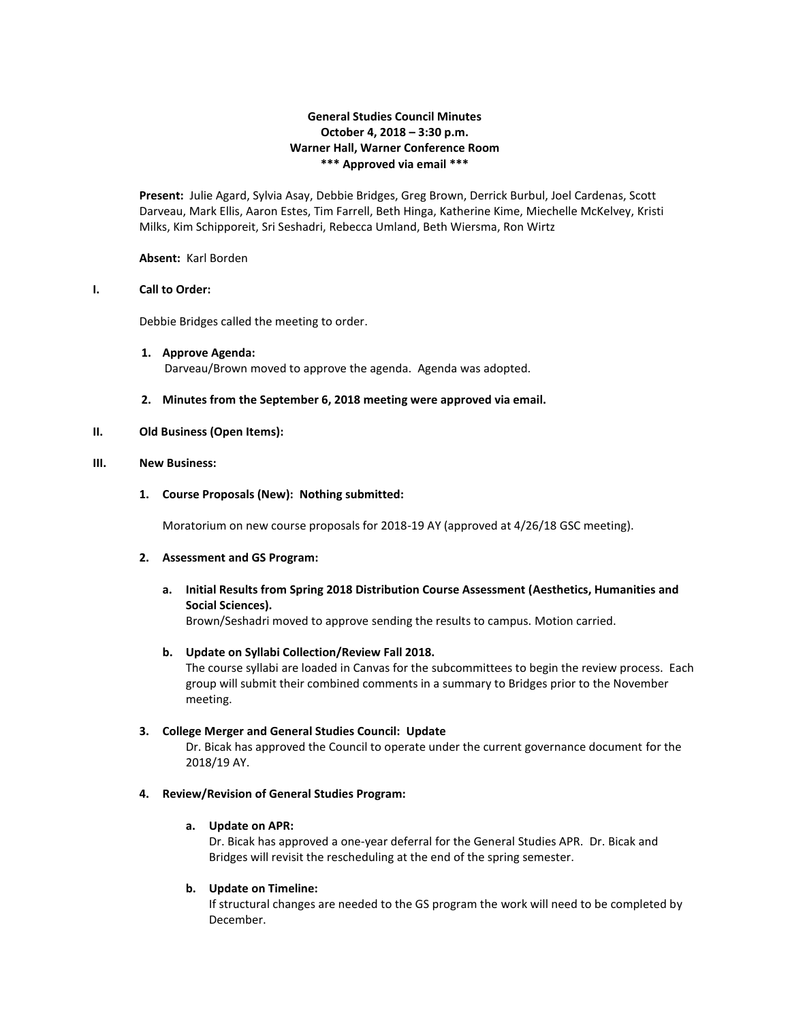# **General Studies Council Minutes October 4, 2018 – 3:30 p.m. Warner Hall, Warner Conference Room \*\*\* Approved via email \*\*\***

**Present:** Julie Agard, Sylvia Asay, Debbie Bridges, Greg Brown, Derrick Burbul, Joel Cardenas, Scott Darveau, Mark Ellis, Aaron Estes, Tim Farrell, Beth Hinga, Katherine Kime, Miechelle McKelvey, Kristi Milks, Kim Schipporeit, Sri Seshadri, Rebecca Umland, Beth Wiersma, Ron Wirtz

### **Absent:** Karl Borden

### **I. Call to Order:**

Debbie Bridges called the meeting to order.

- **1. Approve Agenda:** Darveau/Brown moved to approve the agenda. Agenda was adopted.
- **2. Minutes from the September 6, 2018 meeting were approved via email.**

### **II. Old Business (Open Items):**

#### **III. New Business:**

## **1. Course Proposals (New): Nothing submitted:**

Moratorium on new course proposals for 2018-19 AY (approved at 4/26/18 GSC meeting).

### **2. Assessment and GS Program:**

**a. Initial Results from Spring 2018 Distribution Course Assessment (Aesthetics, Humanities and Social Sciences).**

Brown/Seshadri moved to approve sending the results to campus. Motion carried.

### **b. Update on Syllabi Collection/Review Fall 2018.**

The course syllabi are loaded in Canvas for the subcommittees to begin the review process. Each group will submit their combined comments in a summary to Bridges prior to the November meeting.

### **3. College Merger and General Studies Council: Update**

Dr. Bicak has approved the Council to operate under the current governance document for the 2018/19 AY.

### **4. Review/Revision of General Studies Program:**

### **a. Update on APR:**

Dr. Bicak has approved a one-year deferral for the General Studies APR. Dr. Bicak and Bridges will revisit the rescheduling at the end of the spring semester.

### **b. Update on Timeline:**

If structural changes are needed to the GS program the work will need to be completed by December.